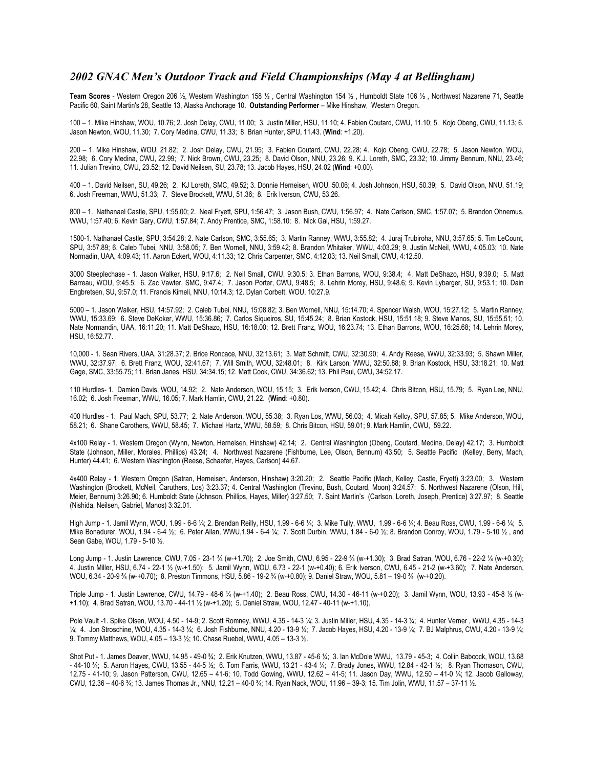## *2002 GNAC Men's Outdoor Track and Field Championships (May 4 at Bellingham)*

**Team Scores** - Western Oregon 206 ½, Western Washington 158 ½ , Central Washington 154 ½ , Humboldt State 106 ½ , Northwest Nazarene 71, Seattle Pacific 60, Saint Martin's 28, Seattle 13, Alaska Anchorage 10. **Outstanding Performer** – Mike Hinshaw, Western Oregon.

100 – 1. Mike Hinshaw, WOU, 10.76; 2. Josh Delay, CWU, 11.00; 3. Justin Miller, HSU, 11.10; 4. Fabien Coutard, CWU, 11.10; 5. Kojo Obeng, CWU, 11.13; 6. Jason Newton, WOU, 11.30; 7. Cory Medina, CWU, 11.33; 8. Brian Hunter, SPU, 11.43. (**Wind**: +1.20).

200 – 1. Mike Hinshaw, WOU, 21.82; 2. Josh Delay, CWU, 21.95; 3. Fabien Coutard, CWU, 22.28; 4. Kojo Obeng, CWU, 22.78; 5. Jason Newton, WOU, 22.98; 6. Cory Medina, CWU, 22.99; 7. Nick Brown, CWU, 23.25; 8. David Olson, NNU, 23.26; 9. K.J. Loreth, SMC, 23.32; 10. Jimmy Bennum, NNU, 23.46; 11. Julian Trevino, CWU, 23.52; 12. David Neilsen, SU, 23.78; 13. Jacob Hayes, HSU, 24.02 (**Wind**: +0.00).

400 – 1. David Neilsen, SU, 49.26; 2. KJ Loreth, SMC, 49.52; 3. Donnie Herneisen, WOU, 50.06; 4. Josh Johnson, HSU, 50.39; 5. David Olson, NNU, 51.19; 6. Josh Freeman, WWU, 51.33; 7. Steve Brockett, WWU, 51.36; 8. Erik Iverson, CWU, 53.26.

800 – 1. Nathanael Castle, SPU, 1:55.00; 2. Neal Fryett, SPU, 1:56.47; 3. Jason Bush, CWU, 1:56.97; 4. Nate Carlson, SMC, 1:57.07; 5. Brandon Ohnemus, WWU, 1:57.40; 6. Kevin Gary, CWU, 1:57.84; 7. Andy Prentice, SMC, 1:58.10; 8. Nick Gai, HSU, 1:59.27.

1500-1. Nathanael Castle, SPU, 3:54.28; 2. Nate Carlson, SMC, 3:55.65; 3. Martin Ranney, WWU, 3:55.82; 4. Juraj Trubiroha, NNU, 3:57.65; 5. Tim LeCount, SPU, 3:57.89; 6. Caleb Tubei, NNU, 3:58.05; 7. Ben Wornell, NNU, 3:59.42; 8. Brandon Whitaker, WWU, 4:03.29; 9. Justin McNeil, WWU, 4:05.03; 10. Nate Normadin, UAA, 4:09.43; 11. Aaron Eckert, WOU, 4:11.33; 12. Chris Carpenter, SMC, 4:12.03; 13. Neil Small, CWU, 4:12.50.

3000 Steeplechase - 1. Jason Walker, HSU, 9:17.6; 2. Neil Small, CWU, 9:30.5; 3. Ethan Barrons, WOU, 9:38.4; 4. Matt DeShazo, HSU, 9:39.0; 5. Matt Barreau, WOU, 9:45.5; 6. Zac Vawter, SMC, 9:47.4; 7. Jason Porter, CWU, 9:48.5; 8. Lehrin Morey, HSU, 9:48.6; 9. Kevin Lybarger, SU, 9:53.1; 10. Dain Engbretsen, SU, 9:57.0; 11. Francis Kimeli, NNU, 10:14.3; 12. Dylan Corbett, WOU, 10:27.9.

5000 – 1. Jason Walker, HSU, 14:57.92; 2. Caleb Tubei, NNU, 15:08.82; 3. Ben Wornell, NNU, 15:14.70; 4. Spencer Walsh, WOU, 15:27.12; 5. Martin Ranney, WWU, 15:33.69; 6. Steve DeKoker, WWU, 15:36.86; 7. Carlos Siqueiros, SU, 15:45.24; 8. Brian Kostock, HSU, 15:51.18; 9. Steve Manos, SU, 15:55.51; 10. Nate Normandin, UAA, 16:11.20; 11. Matt DeShazo, HSU, 16:18.00; 12. Brett Franz, WOU, 16:23.74; 13. Ethan Barrons, WOU, 16:25.68; 14. Lehrin Morey, HSU, 16:52.77.

10,000 - 1. Sean Rivers, UAA, 31:28.37; 2. Brice Roncace, NNU, 32:13.61; 3. Matt Schmitt, CWU, 32:30.90; 4. Andy Reese, WWU, 32:33.93; 5. Shawn Miller, WWU, 32:37.97; 6. Brett Franz, WOU, 32:41.67; 7, Will Smith, WOU, 32:48.01; 8. Kirk Larson, WWU, 32:50.88; 9. Brian Kostock, HSU, 33:18.21; 10. Matt Gage, SMC, 33:55.75; 11. Brian Janes, HSU, 34:34.15; 12. Matt Cook, CWU, 34:36.62; 13. Phil Paul, CWU, 34:52.17.

110 Hurdles- 1. Damien Davis, WOU, 14.92; 2. Nate Anderson, WOU, 15.15; 3. Erik Iverson, CWU, 15.42; 4. Chris Bitcon, HSU, 15.79; 5. Ryan Lee, NNU, 16.02; 6. Josh Freeman, WWU, 16.05; 7. Mark Hamlin, CWU, 21.22. (**Wind**: +0.80).

400 Hurdles - 1. Paul Mach, SPU, 53.77; 2. Nate Anderson, WOU, 55.38; 3. Ryan Los, WWU, 56.03; 4. Micah Kellcy, SPU, 57.85; 5. Mike Anderson, WOU, 58.21; 6. Shane Carothers, WWU, 58.45; 7. Michael Hartz, WWU, 58.59; 8. Chris Bitcon, HSU, 59.01; 9. Mark Hamlin, CWU, 59.22.

4x100 Relay - 1. Western Oregon (Wynn, Newton, Herneisen, Hinshaw) 42.14; 2. Central Washington (Obeng, Coutard, Medina, Delay) 42.17; 3. Humboldt State (Johnson, Miller, Morales, Phillips) 43.24; 4. Northwest Nazarene (Fishburne, Lee, Olson, Bennum) 43.50; 5. Seattle Pacific (Kelley, Berry, Mach, Hunter) 44.41; 6. Western Washington (Reese, Schaefer, Hayes, Carlson) 44.67.

4x400 Relay - 1. Western Oregon (Satran, Herneisen, Anderson, Hinshaw) 3:20.20; 2. Seattle Pacific (Mach, Kelley, Castle, Fryett) 3:23.00; 3. Western Washington (Brockett, McNeil, Caruthers, Los) 3:23.37; 4. Central Washington (Trevino, Bush, Coutard, Moon) 3:24.57; 5. Northwest Nazarene (Olson, Hill, Meier, Bennum) 3:26.90; 6. Humboldt State (Johnson, Phillips, Hayes, Miller) 3:27.50; 7. Saint Martin's (Carlson, Loreth, Joseph, Prentice) 3:27.97; 8. Seattle (Nishida, Neilsen, Gabriel, Manos) 3:32.01.

High Jump - 1. Jamil Wynn, WOU, 1.99 - 6-6 ¼; 2. Brendan Reilly, HSU, 1.99 - 6-6 ¼; 3. Mike Tully, WWU, 1.99 - 6-6 ¼; 4. Beau Ross, CWU, 1.99 - 6-6 ¼; 5. Mike Bonadurer, WOU, 1.94 - 6-4 ½; 6. Peter Allan, WWU,1.94 - 6-4 ¼; 7. Scott Durbin, WWU, 1.84 - 6-0 ½; 8. Brandon Conroy, WOU, 1.79 - 5-10 ½ , and Sean Gabe, WOU, 1.79 - 5-10 ½.

Long Jump - 1. Justin Lawrence, CWU, 7.05 - 23-1 ¾ (w-+1.70); 2. Joe Smith, CWU, 6.95 - 22-9 ¾ (w-+1.30); 3. Brad Satran, WOU, 6.76 - 22-2 ¼ (w-+0.30); 4. Justin Miller, HSU, 6.74 - 22-1 ½ (w-+1.50); 5. Jamil Wynn, WOU, 6.73 - 22-1 (w-+0.40); 6. Erik Iverson, CWU, 6.45 - 21-2 (w-+3.60); 7. Nate Anderson, WOU, 6.34 - 20-9 ¾ (w-+0.70); 8. Preston Timmons, HSU, 5.86 - 19-2 ¾ (w-+0.80); 9. Daniel Straw, WOU, 5.81 – 19-0 ¾ (w-+0.20).

Triple Jump - 1. Justin Lawrence, CWU, 14.79 - 48-6 ¼ (w-+1.40); 2. Beau Ross, CWU, 14.30 - 46-11 (w-+0.20); 3. Jamil Wynn, WOU, 13.93 - 45-8 ½ (w- +1.10); 4. Brad Satran, WOU, 13.70 - 44-11 ½ (w-+1.20); 5. Daniel Straw, WOU, 12.47 - 40-11 (w-+1.10).

Pole Vault -1. Spike Olsen, WOU, 4.50 - 14-9; 2. Scott Romney, WWU, 4.35 - 14-3 ¼; 3. Justin Miller, HSU, 4.35 - 14-3 ¼; 4. Hunter Verner , WWU, 4.35 - 14-3 ¼; 4. Jon Stroschine, WOU, 4.35 - 14-3 ¼; 6. Josh Fishburne, NNU, 4.20 - 13-9 ¼; 7. Jacob Hayes, HSU, 4.20 - 13-9 ¼; 7. BJ Malphrus, CWU, 4.20 - 13-9 ¼; 9. Tommy Matthews, WOU, 4.05 – 13-3 ½; 10. Chase Ruebel, WWU, 4.05 – 13-3 ½.

Shot Put - 1. James Deaver, WWU, 14.95 - 49-0 ¾; 2. Erik Knutzen, WWU, 13.87 - 45-6 ¼; 3. Ian McDole WWU, 13.79 - 45-3; 4. Collin Babcock, WOU, 13.68 - 44-10 ¾; 5. Aaron Hayes, CWU, 13.55 - 44-5 ½; 6. Tom Farris, WWU, 13.21 - 43-4 ¼; 7. Brady Jones, WWU, 12.84 - 42-1 ½; 8. Ryan Thomason, CWU, 12.75 - 41-10; 9. Jason Patterson, CWU, 12.65 – 41-6; 10. Todd Gowing, WWU, 12.62 – 41-5; 11. Jason Day, WWU, 12.50 – 41-0 ¼; 12. Jacob Galloway, CWU, 12.36 – 40-6 ¾; 13. James Thomas Jr., NNU, 12.21 – 40-0 ¾; 14. Ryan Nack, WOU, 11.96 – 39-3; 15. Tim Jolin, WWU, 11.57 – 37-11 ½.